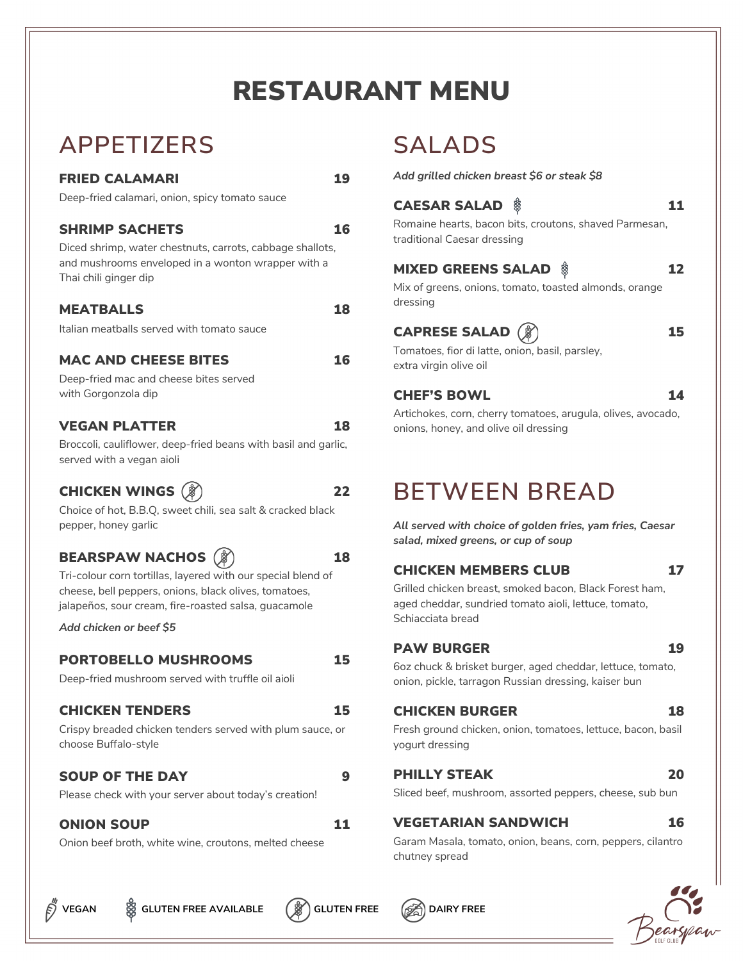# RESTAURANT MENU

# **APPETIZERS**

# FRIED CALAMARI 19

Deep-fried calamari, onion, spicy tomato sauce

# SHRIMP SACHETS 16

Diced shrimp, water chestnuts, carrots, cabbage shallots, and mushrooms enveloped in a wonton wrapper with a Thai chili ginger dip

#### MEATBALLS 18

Italian meatballs served with tomato sauce

# MAC AND CHEESE BITES 16

Deep-fried mac and cheese bites served with Gorgonzola dip

#### VEGAN PLATTER 18

Broccoli, cauliflower, deep-fried beans with basil and garlic, served with a vegan aioli

# CHICKEN WINGS  $(\hat{\mathcal{E}})$  22

Choice of hot, B.B.Q, sweet chili, sea salt & cracked black pepper, honey garlic

# BEARSPAW NACHOS ( ) 18

Tri-colour corn tortillas, layered with our special blend of cheese, bell peppers, onions, black olives, tomatoes, jalapeños, sour cream, fire-roasted salsa, guacamole

*Add chicken or beef \$5*

## PORTOBELLO MUSHROOMS 15

Deep-fried mushroom served with truffle oil aioli

## CHICKEN TENDERS 15

Crispy breaded chicken tenders served with plum sauce, or choose Buffalo-style

## SOUP OF THE DAY 9

Please check with your server about today's creation!

## ONION SOUP 11

Onion beef broth, white wine, croutons, melted cheese

# **SALADS**

*Add grilled chicken breast \$6 or steak \$8*

# **CAESAR SALAD**  $\frac{8}{9}$  **11**

Romaine hearts, bacon bits, croutons, shaved Parmesan, traditional Caesar dressing

# MIXED GREENS SALAD \$ 12

Mix of greens, onions, tomato, toasted almonds, orange dressing

# CAPRESE SALAD  $(\hat{\mathcal{G}})$  15

Tomatoes, fior di latte, onion, basil, parsley, extra virgin olive oil

# CHEF'S BOWL 14

Artichokes, corn, cherry tomatoes, arugula, olives, avocado, onions, honey, and olive oil dressing

# **BETWEEN BREAD**

*All served with choice of golden fries, yam fries, Caesar salad, mixed greens, or cup of soup*

# CHICKEN MEMBERS CLUB 17

Grilled chicken breast, smoked bacon, Black Forest ham, aged cheddar, sundried tomato aioli, lettuce, tomato, Schiacciata bread

#### PAW BURGER 19

6oz chuck & brisket burger, aged cheddar, lettuce, tomato, onion, pickle, tarragon Russian dressing, kaiser bun

## CHICKEN BURGER 18

Fresh ground chicken, onion, tomatoes, lettuce, bacon, basil yogurt dressing

#### PHILLY STEAK 20

Sliced beef, mushroom, assorted peppers, cheese, sub bun

# VEGETARIAN SANDWICH 16

Garam Masala, tomato, onion, beans, corn, peppers, cilantro chutney spread



**VEGAN**  $\frac{60}{20}$  GLUTEN FREE AVAILABLE  $\left(\frac{60}{20}\right)$  GLUTEN FREE  $\left(\frac{60}{20}\right)$  DAIRY FREE